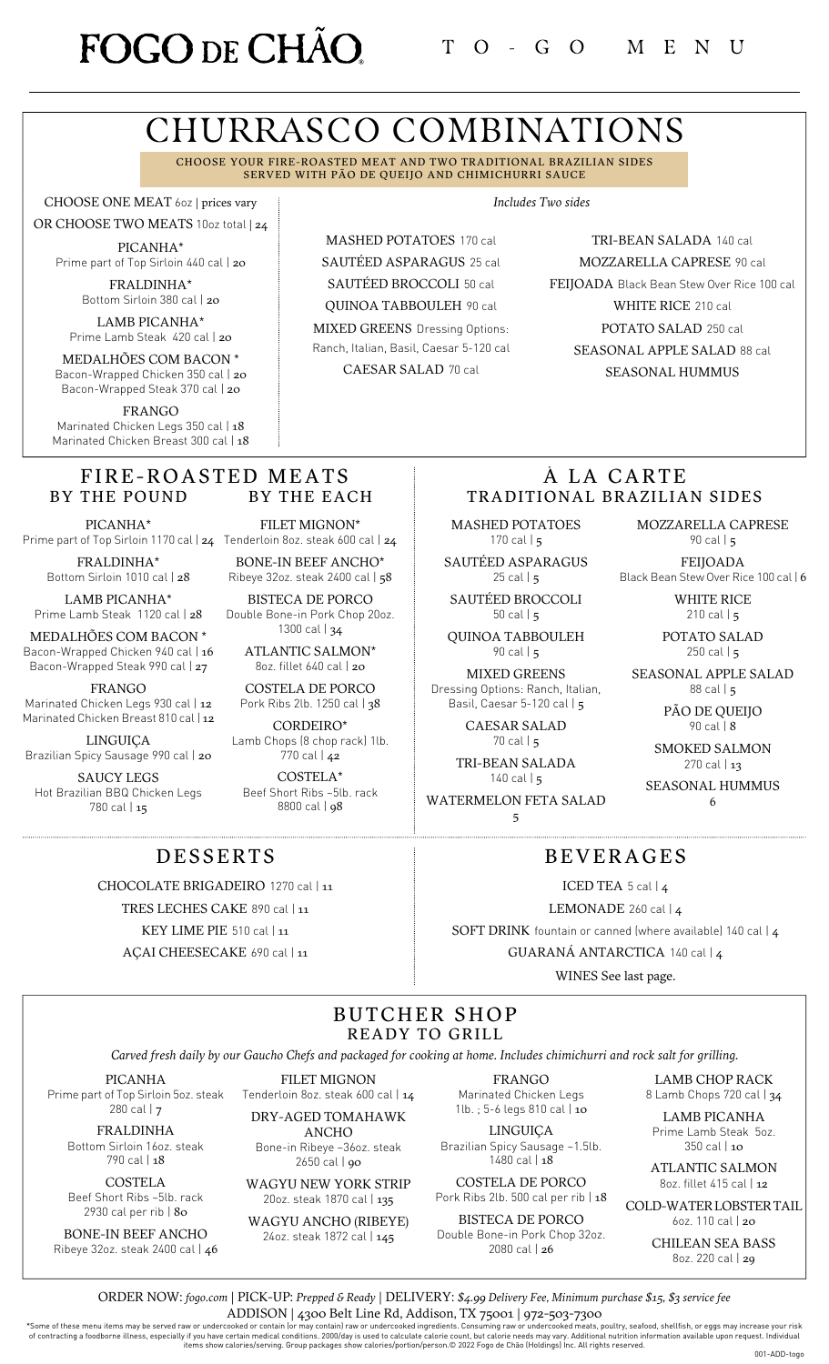# FOGO DE CHÃO

# CHURRASCO COMBINATIONS

CHOOSE YOUR FIRE-ROASTED MEAT AND TWO TRADITIONAL BRAZILIAN SIDES SERVED WITH PÃO DE QUEIJO AND CHIMICHURRI SAUCE

> MASHED POTATOES 170 cal SAUTÉED ASPARAGUS 25 cal SAUTÉED BROCCOLI 50 cal QUINOA TABBOULEH 90 cal MIXED GREENS Dressing Options: Ranch, Italian, Basil, Caesar 5-120 cal CAESAR SALAD 70 cal

CHOOSE ONE MEAT 6oz | prices vary

OR CHOOSE TWO MEATS 10oz total | 24 PICANHA\* Prime part of Top Sirloin 440 cal | 20

> FRALDINHA\* Bottom Sirloin 380 cal | 20

LAMB PICANHA\* Prime Lamb Steak 420 cal | 20

MEDALHÕES COM BACON \* Bacon-Wrapped Chicken 350 cal | 20 Bacon-Wrapped Steak 370 cal | 20

FRANGO Marinated Chicken Legs 350 cal | 18 Marinated Chicken Breast 300 cal | 18

#### FIRE-ROASTED MEATS BY THE POUND BY THE EACH

PICANHA\*

FRALDINHA\* Bottom Sirloin 1010 cal | 28

LAMB PICANHA\* Prime Lamb Steak 1120 cal | 28

MEDALHÕES COM BACON \* Bacon-Wrapped Chicken 940 cal | 16 Bacon-Wrapped Steak 990 cal | 27

FRANGO

Marinated Chicken Legs 930 cal | 12 Marinated Chicken Breast 810 cal | 12

LINGUIÇA Brazilian Spicy Sausage 990 cal | 20

SAUCY LEGS Hot Brazilian BBQ Chicken Legs 780 cal | 15

Prime part of Top Sirloin 1170 cal | **24** Tenderloin 8oz. steak 600 cal | **24** FILET MIGNON\*

BONE-IN BEEF ANCHO\* Ribeye 32oz. steak 2400 cal | 58 BISTECA DE PORCO

Double Bone-in Pork Chop 20oz. 1300 cal | 34

> ATLANTIC SALMON\* 8oz. fillet 640 cal | 20

COSTELA DE PORCO Pork Ribs 2lb. 1250 cal | 38

CORDEIRO\* Lamb Chops (8 chop rack) 1lb. 770 cal | 42

COSTELA\* Beef Short Ribs ~5lb. rack 8800 cal | 98

*Includes Two sides*

TRI-BEAN SALADA 140 cal MOZZARELLA CAPRESE 90 cal FEIJOADA Black Bean Stew Over Rice 100 cal WHITE RICE 210 cal POTATO SALAD 250 cal SEASONAL APPLE SALAD 88 cal SEASONAL HUMMUS

## À LA CARTE TRADITIONAL BRAZILIAN SIDES

MASHED POTATOES 170 cal  $\vert$  5

SAUTÉED ASPARAGUS 25 cal  $\vert$  5

SAUTÉED BROCCOLI 50 cal | 5

QUINOA TABBOULEH 90 cal | 5

MIXED GREENS Dressing Options: Ranch, Italian, Basil, Caesar 5-120 cal | 5

> CAESAR SALAD 70 cal | 5

TRI-BEAN SALADA  $140$  cal  $\frac{1}{5}$ 

WATERMELON FETA SALAD 5

MOZZARELLA CAPRESE 90 cal | 5

FEIJOADA Black Bean Stew Over Rice 100 cal | 6

> WHITE RICE 210 cal  $\vert$  5

POTATO SALAD 250 cal  $|5|$ 

SEASONAL APPLE SALAD 88 cal | 5

> PÃO DE QUEIJO 90 cal | 8

SMOKED SALMON 270 cal | 13

SEASONAL HUMMUS 6

## DESSERTS

CHOCOLATE BRIGADEIRO 1270 cal | 11

TRES LECHES CAKE 890 cal | 11

KEY LIME PIE 510 cal | 11

AÇAI CHEESECAKE 690 cal | 11

BEVERAGES ICED TEA 5 cal | 4

LEMONADE 260 cal | 4

SOFT DRINK fountain or canned (where available) 140 cal | 4 GUARANÁ ANTARCTICA 140 cal | 4

WINES See last page.

## BUTCHER SHOP READY TO GRILL

Carved fresh daily by our Gaucho Chefs and packaged for cooking at home. Includes chimichurri and rock salt for grilling.

PICANHA Prime part of Top Sirloin 5oz. steak 280 cal | 7

FRALDINHA Bottom Sirloin 16oz. steak 790 cal | 18

COSTELA Beef Short Ribs ~5lb. rack 2930 cal per rib | 80

BONE-IN BEEF ANCHO Ribeye 32oz. steak 2400 cal | 46

FILET MIGNON Tenderloin 8oz. steak 600 cal | 14 DRY-AGED TOMAHAWK

ANCHO Bone-in Ribeye ~36oz. steak

2650 cal | **90** 

WAGYU NEW YORK STRIP 20oz. steak 1870 cal | 135

WAGYU ANCHO (RIBEYE) 24oz. steak 1872 cal | 145

FRANGO Marinated Chicken Legs 1lb. ; 5-6 legs 810 cal | 10

LINGUIÇA Brazilian Spicy Sausage ~1.5lb. 1480 cal | 18

COSTELA DE PORCO Pork Ribs 2lb. 500 cal per rib | 18

BISTECA DE PORCO Double Bone-in Pork Chop 32oz. 2080 cal | 26

LAMB CHOP RACK 8 Lamb Chops 720 cal | 34

LAMB PICANHA Prime Lamb Steak 5oz.

350 cal | 10

ATLANTIC SALMON 8oz. fillet 415 cal | 12

COLD-WATERLOBSTERTAIL 6oz. 110 cal | 20

> CHILEAN SEA BASS 8oz. 220 cal | 29

ORDER NOW: *[fogo.com](https://fogo.olo.com/menu/fogo-de-cho-brazilian-steakhouse-20)* | PICK-UP: *Prepped & Ready* | DELIVERY: *\$4.99 Delivery Fee, Minimum purchase \$15, \$3 service fee* ADDISON | 4300 Belt Line Rd, Addison, TX 75001 | 972-503-7300

Some of these menu items may be served raw or undercooked or contain [or may contain] raw or undercooked ingredients. Consuming raw or undercooked meats, poultry, seafood, shellfish, or eggs may increase your risk of contr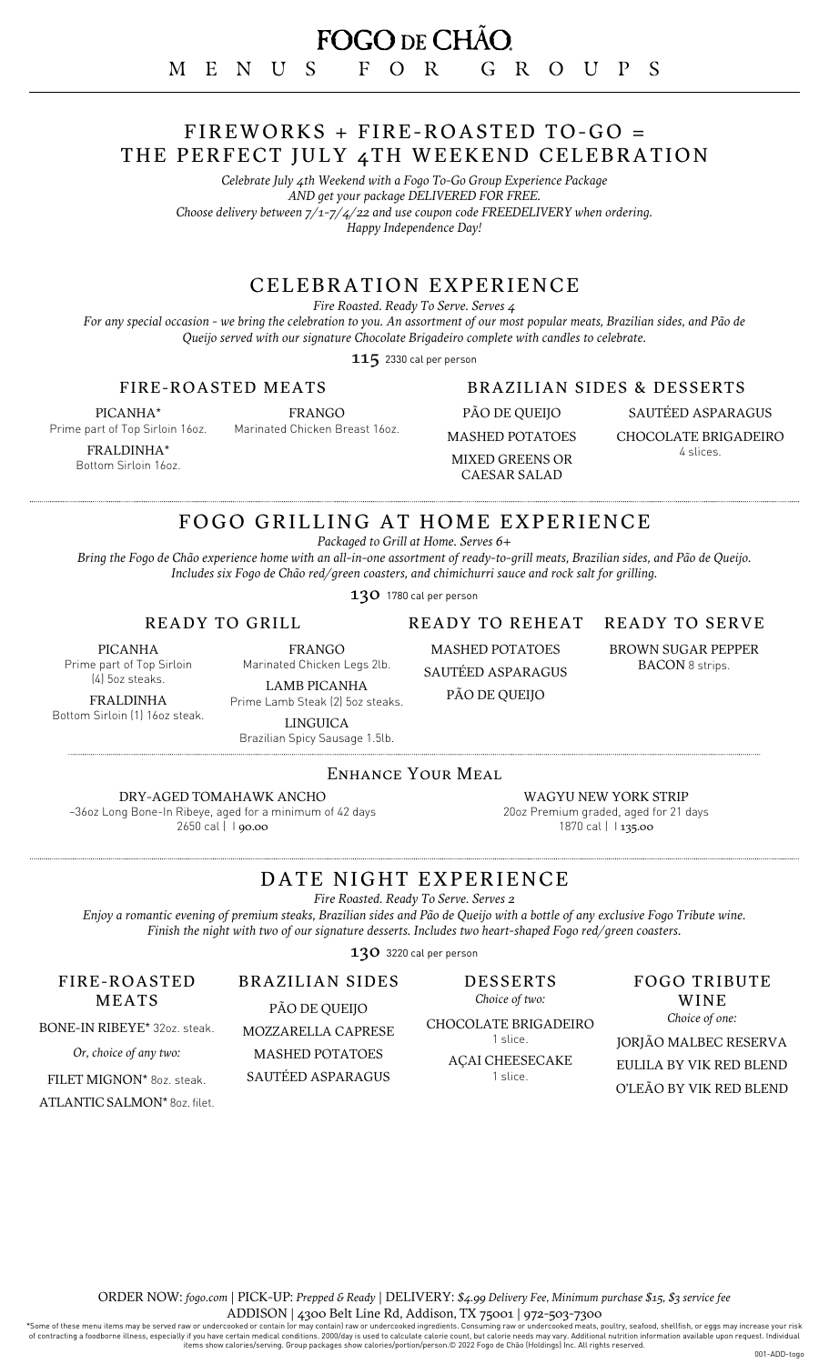## FIREWORKS + FIRE-ROASTED TO-GO = THE PERFECT JULY 4TH WEEKEND CELEBRATION

*Celebrate July 4th Weekend with a Fogo To-Go Group Experience Package AND get your package DELIVERED FOR FREE. Choose delivery between 7/1-7/4/22 and use coupon code FREEDELIVERY when ordering. Happy Independence Day!*

## CELEBRATION EXPERIENCE

*Fire Roasted. Ready To Serve. Serves 4*

For any special occasion - we bring the celebration to you. An assortment of our most popular meats, Brazilian sides, and Pão de *Queijo served with our signature Chocolate Brigadeiro complete with candles to celebrate.*

115 2330 cal per person

#### FIRE-ROASTED MEATS

PICANHA\* Prime part of Top Sirloin 16oz.

Marinated Chicken Breast 16oz.

FRALDINHA\* Bottom Sirloin 16oz. FRANGO

# BRAZILIAN SIDES & DESSERTS

PÃO DE QUEIJO MASHED POTATOES MIXED GREENS OR CAESAR SALAD

SAUTÉED ASPARAGUS CHOCOLATE BRIGADEIRO 4 slices.

# FOGO GRILLING AT HOME EXPERIENCE

*Packaged to Grill at Home. Serves 6+*

Bring the Fogo de Chão experience home with an all-in-one assortment of ready-to-grill meats, Brazilian sides, and Pão de Queijo. *Includes six Fogo de Chão red/green coasters, and chimichurri sauce and rock salt for grilling.*

130 1780 cal per person

#### READY TO GRILL

PICANHA Prime part of Top Sirloin

(4) 5oz steaks.

FRALDINHA Bottom Sirloin (1) 16oz steak.

LAMB PICANHA Prime Lamb Steak (2) 5oz steaks. LINGUICA

FRANGO Marinated Chicken Legs 2lb.

MASHED POTATOES SAUTÉED ASPARAGUS

PÃO DE QUEIJO

READY TO REHEAT

#### READY TO SERVE

BROWN SUGAR PEPPER BACON 8 strips.

Brazilian Spicy Sausage 1.5lb.

#### ENHANCE YOUR MEAL

DRY-AGED TOMAHAWK ANCHO

~36oz Long Bone-In Ribeye, aged for a minimum of 42 days 2650 cal | 1 90.00

WAGYU NEW YORK STRIP 20oz Premium graded, aged for 21 days 1870 cal | 135.00

# DATE NIGHT EXPERIENCE

*Fire Roasted. Ready To Serve. Serves 2*

Enjoy a romantic evening of premium steaks, Brazilian sides and Pão de Queijo with a bottle of any exclusive Fogo Tribute wine. *Finish the night with two of our signature desserts. Includes two heart-shaped Fogo red/green coasters.*

130 3220 cal per person

DESSERTS *Choice of two:*

CHOCOLATE BRIGADEIRO 1 slice.

FOGO TRIBUTE WINE *Choice of one:*

JORJÃO MALBEC RESERVA EULILA BY VIK RED BLEND O'LEÃO BY VIK RED BLEND

FIRE-ROASTED MEATS

BONE-IN RIBEYE\* 32oz. steak.

*Or, choice of any two:*

FILET MIGNON\* 8oz. steak.

ATLANTIC SALMON\* 8oz. filet.

BRAZILIAN SIDES PÃO DE QUEIJO

MOZZARELLA CAPRESE MASHED POTATOES

SAUTÉED ASPARAGUS

AÇAI CHEESECAKE 1 slice.

ORDER NOW: *[fogo.com](https://fogo.olo.com/menu/fogo-de-cho-brazilian-steakhouse-20)* | PICK-UP: *Prepped & Ready* | DELIVERY: *\$4.99 Delivery Fee, Minimum purchase \$15, \$3 service fee* ADDISON | 4300 Belt Line Rd, Addison, TX 75001 | 972-503-7300

Some of these menu items may be served raw or undercooked or contain [or may contain] raw or undercooked ingredients. Consuming raw or undercooked meats, poultry, seafood, shellfish, or eggs may increase your risk of contr